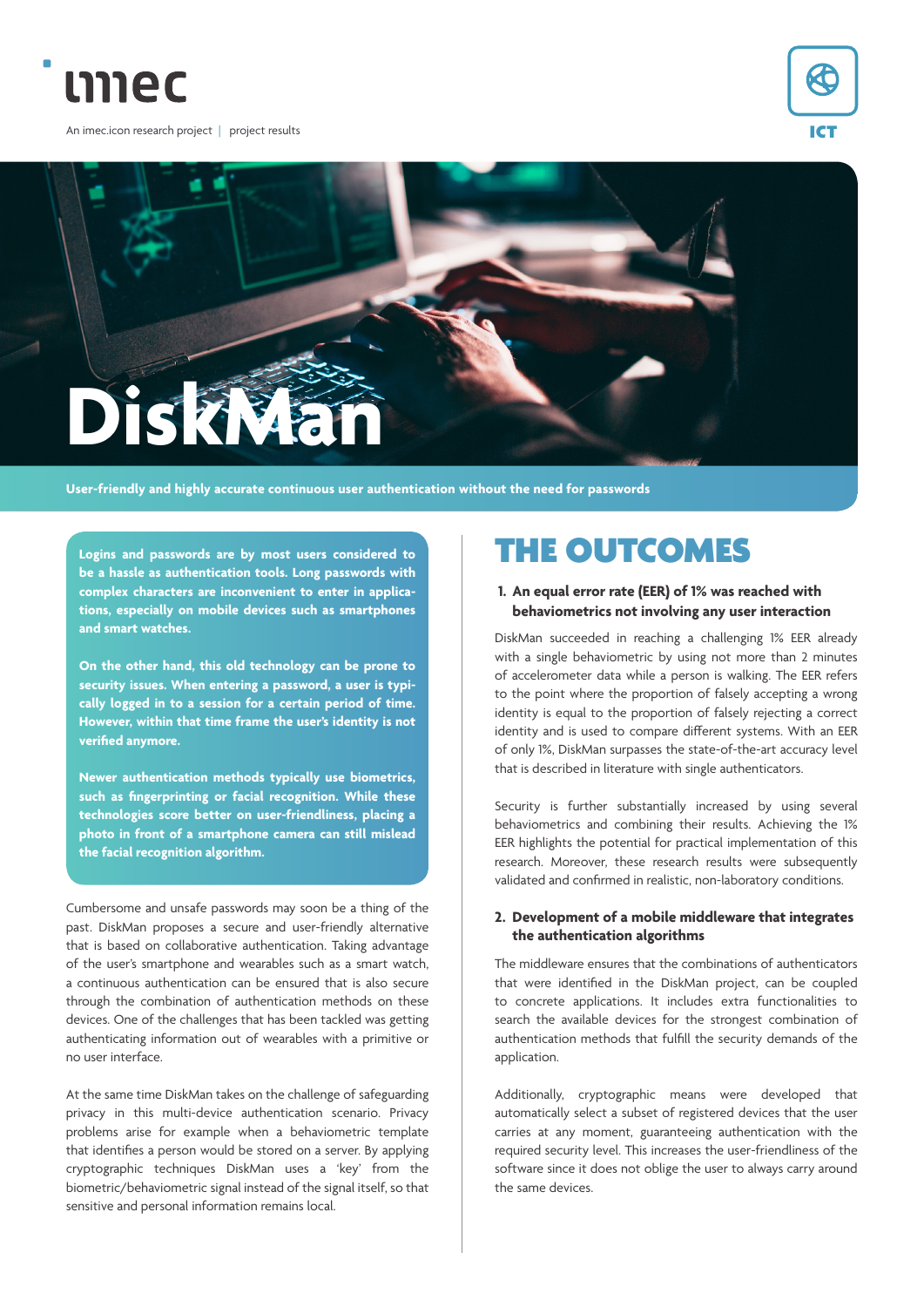

An imec.icon research project | project results





**User-friendly and highly accurate continuous user authentication without the need for passwords**

**Logins and passwords are by most users considered to be a hassle as authentication tools. Long passwords with complex characters are inconvenient to enter in applications, especially on mobile devices such as smartphones and smart watches.**

**On the other hand, this old technology can be prone to security issues. When entering a password, a user is typically logged in to a session for a certain period of time. However, within that time frame the user's identity is not verified anymore.**

**Newer authentication methods typically use biometrics, such as fingerprinting or facial recognition. While these technologies score better on user-friendliness, placing a photo in front of a smartphone camera can still mislead the facial recognition algorithm.**

Cumbersome and unsafe passwords may soon be a thing of the past. DiskMan proposes a secure and user-friendly alternative that is based on collaborative authentication. Taking advantage of the user's smartphone and wearables such as a smart watch, a continuous authentication can be ensured that is also secure through the combination of authentication methods on these devices. One of the challenges that has been tackled was getting authenticating information out of wearables with a primitive or no user interface.

At the same time DiskMan takes on the challenge of safeguarding privacy in this multi-device authentication scenario. Privacy problems arise for example when a behaviometric template that identifies a person would be stored on a server. By applying cryptographic techniques DiskMan uses a 'key' from the biometric/behaviometric signal instead of the signal itself, so that sensitive and personal information remains local.

# THE OUTCOMES

### **1. An equal error rate (EER) of 1% was reached with behaviometrics not involving any user interaction**

DiskMan succeeded in reaching a challenging 1% EER already with a single behaviometric by using not more than 2 minutes of accelerometer data while a person is walking. The EER refers to the point where the proportion of falsely accepting a wrong identity is equal to the proportion of falsely rejecting a correct identity and is used to compare different systems. With an EER of only 1%, DiskMan surpasses the state-of-the-art accuracy level that is described in literature with single authenticators.

Security is further substantially increased by using several behaviometrics and combining their results. Achieving the 1% EER highlights the potential for practical implementation of this research. Moreover, these research results were subsequently validated and confirmed in realistic, non-laboratory conditions.

#### **2. Development of a mobile middleware that integrates the authentication algorithms**

The middleware ensures that the combinations of authenticators that were identified in the DiskMan project, can be coupled to concrete applications. It includes extra functionalities to search the available devices for the strongest combination of authentication methods that fulfill the security demands of the application.

Additionally, cryptographic means were developed that automatically select a subset of registered devices that the user carries at any moment, guaranteeing authentication with the required security level. This increases the user-friendliness of the software since it does not oblige the user to always carry around the same devices.